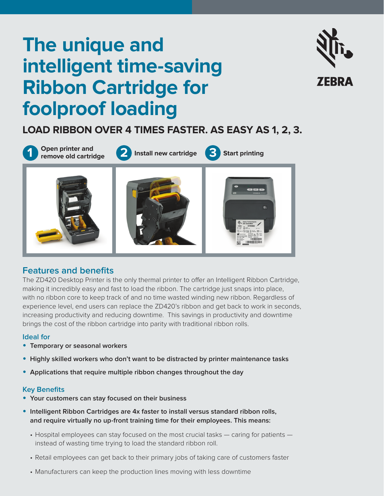# **The unique and intelligent time-saving Ribbon Cartridge for foolproof loading**



# **LOAD RIBBON OVER 4 TIMES FASTER. AS EASY AS 1, 2, 3.**



## **Features and benefits**

The ZD420 Desktop Printer is the only thermal printer to offer an Intelligent Ribbon Cartridge, making it incredibly easy and fast to load the ribbon. The cartridge just snaps into place, with no ribbon core to keep track of and no time wasted winding new ribbon. Regardless of experience level, end users can replace the ZD420's ribbon and get back to work in seconds, increasing productivity and reducing downtime. This savings in productivity and downtime brings the cost of the ribbon cartridge into parity with traditional ribbon rolls.

#### **Ideal for**

- **• Temporary or seasonal workers**
- **• Highly skilled workers who don't want to be distracted by printer maintenance tasks**
- **• Applications that require multiple ribbon changes throughout the day**

#### **Key Benefits**

- **• Your customers can stay focused on their business**
- **• Intelligent Ribbon Cartridges are 4x faster to install versus standard ribbon rolls, and require virtually no up-front training time for their employees. This means:** 
	- Hospital employees can stay focused on the most crucial tasks caring for patients instead of wasting time trying to load the standard ribbon roll.
	- Retail employees can get back to their primary jobs of taking care of customers faster
	- Manufacturers can keep the production lines moving with less downtime